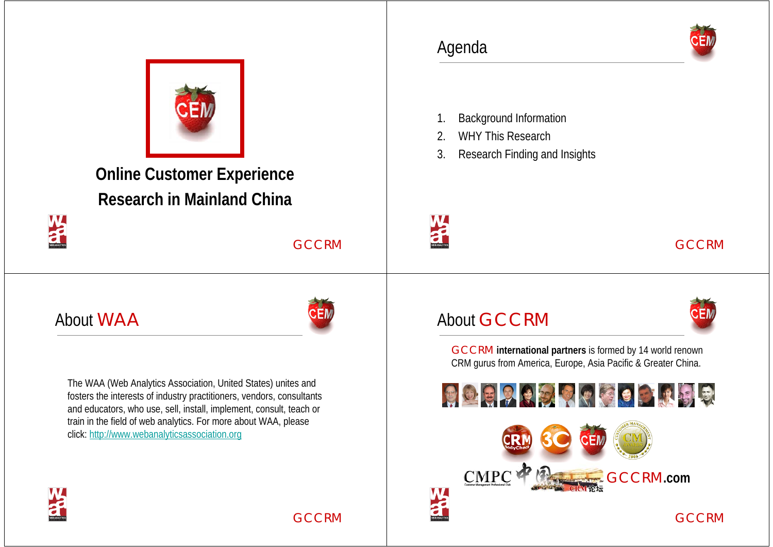

**Online Customer Experience Research in Mainland China**

GCCRM

#### About WAA



The WAA (Web Analytics Association, United States) unites and fosters the interests of industry practitioners, vendors, consultants and educators, who use, sell, install, implement, consult, teach or train in the field of web analytics. For more about WAA, please click: http://www.webanalyticsassociation.org



#### Agenda

- 1. Background Information
- 2. WHY This Research
- 3. Research Finding and Insights



#### GCCRM

#### About GCCRM







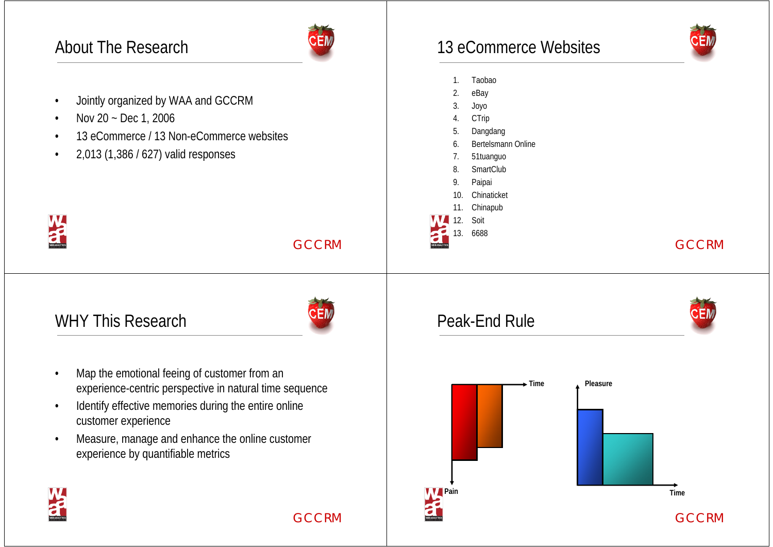## About The Research



- •Jointly organized by WAA and GCCRM
- •Nov 20 ~ Dec 1, 2006
- •13 eCommerce / 13 Non-eCommerce websites
- •2,013 (1,386 / 627) valid responses



GCCRM

#### WHY This Research



GCCRM

- • Map the emotional feeing of customer from an experience-centric perspective in natural time sequence
- • Identify effective memories during the entire online customer experience
- Measure, manage and enhance the online customer experience by quantifiable metrics •

13 eCommerce Websites

- 1. Taobao
- 2. eBay
- 3. Joyo
- **CTrip**
- 5. Dangdang
- 6. Bertelsmann Online
- 7. 51tuanguo
- 8. SmartClub
- 9. Paipai
- 10. Chinaticket
- 11. Chinapub
- 12. Soit
- 13. 6688

#### GCCRM

#### Peak-End Rule



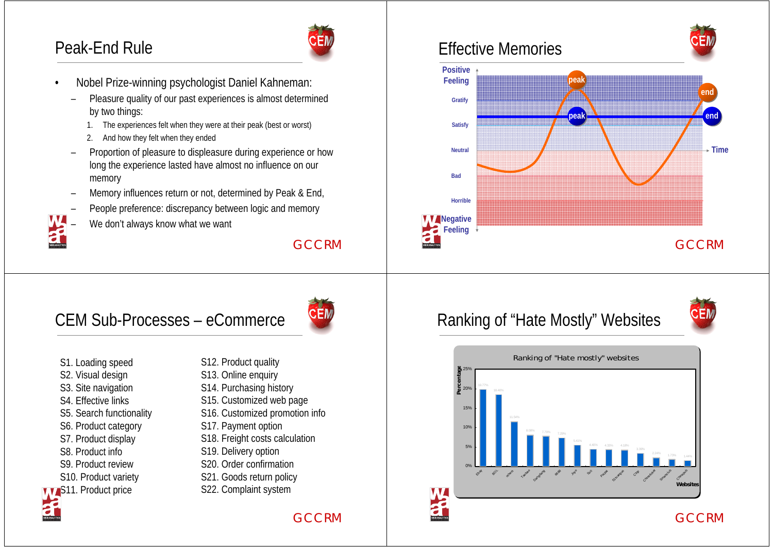# Peak-End Rule



- • Nobel Prize-winning psychologist Daniel Kahneman:
	- Pleasure quality of our past experiences is almost determined by two things:
		- 1. The experiences felt when they were at their peak (best or worst)
		- 2. And how they felt when they ended
	- Proportion of pleasure to displeasure during experience or how long the experience lasted have almost no influence on our memory
	- Memory influences return or not, determined by Peak & End,
	- People preference: discrepancy between logic and memory
	- We don't always know what we want

#### GCCRM

# CEM Sub-Processes – eCommerce



- S1. Loading speed
- S2. Visual design
- S3. Site navigation
- S4. Effective links
- S5. Search functionality
- S6. Product category
- S7. Product display
- S8. Product info
- S9. Product review
- S10. Product variety
- **WAS11. Product price**
- S12. Product quality
- S13. Online enquiry
- S14. Purchasing history
- S15. Customized web page
- S16. Customized promotion info
- S17. Payment option
- 
- S18. Freight costs calculation
- S19. Delivery option
- S20. Order confirmation
- S21. Goods return policy
- S22. Complaint system

#### GCCRM

 $\bf{V}$ 

### Effective Memories



#### Ranking of "Hate Mostly" Websites



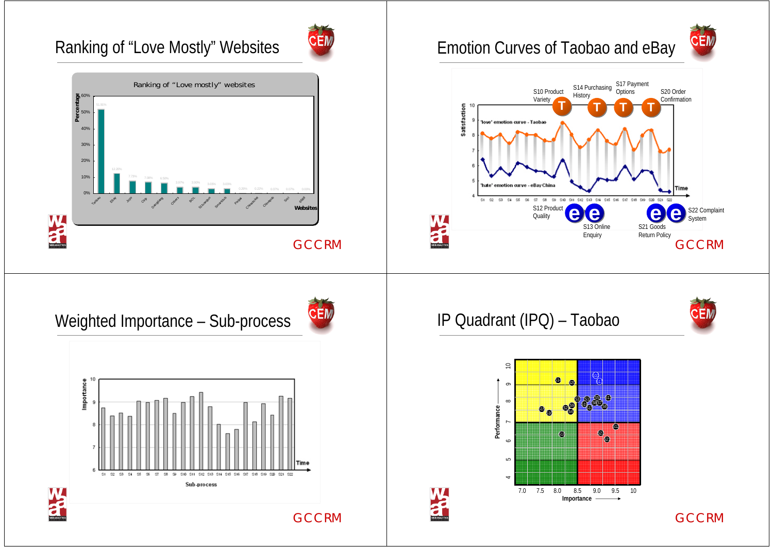# Ranking of "Love Mostly" Websites



# Emotion Curves of Taobao and eBay



#### IP Quadrant (IPQ) – Taobao







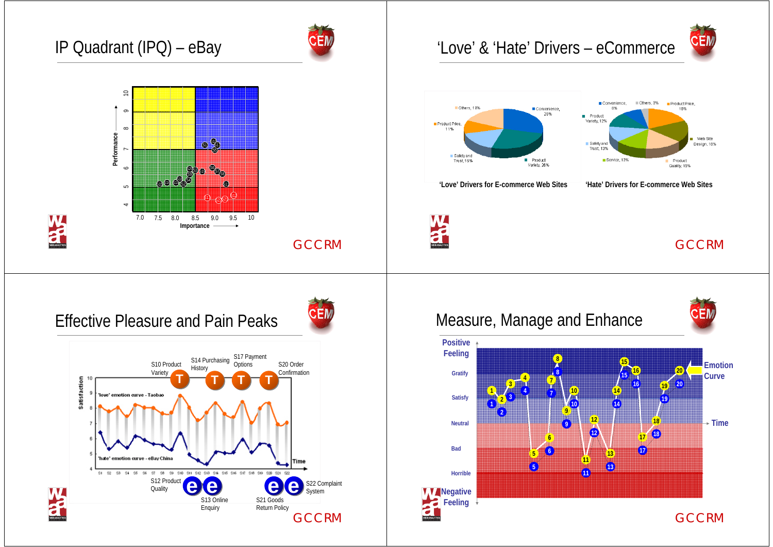# IP Quadrant (IPQ) – eBay

 $\Rightarrow$ 

 $\overline{a}$ 

15678910

 $\overline{a}$ 

 $\infty$ 9

 $\approx$ 

5 6

 $\bullet$ 

**Performance**

Performance



**GCCRM** 

# $^{51}$   $\&$  $\mathbb{S}_0$

Effective Pleasure and Pain Peaks

 $\bm{x} \bm{\Phi} \bm{\Phi}^{\text{II}}$ 

7.0 7.5 8.0 8.5 9.0 9.5 10

7.5 8.5 9.5 8.0 9.0

S3S4

S19 $2936$ 

S6S7 $\mathcal{S}$ 9)  $\mathcal{S}$   $\mathcal{S}$   $\mathcal{S}$   $\mathcal{S}$   $\mathcal{S}$   $\mathcal{S}$   $\mathcal{S}$   $\mathcal{S}$   $\mathcal{S}$   $\mathcal{S}$   $\mathcal{S}$   $\mathcal{S}$   $\mathcal{S}$   $\mathcal{S}$   $\mathcal{S}$   $\mathcal{S}$   $\mathcal{S}$   $\mathcal{S}$   $\mathcal{S}$   $\mathcal{S}$   $\mathcal{S}$   $\mathcal{S}$   $\mathcal{S}$   $\math$  $\frac{1}{2}$  S8

> 611 S12 $\mathbb{S}^{13}$  and  $\mathbb{C}$

S21S22R4

**Importance**



#### 'Love' & 'Hate' Drivers – eCommerce





**'Love' Drivers for E-commerce Web Sites 'Hate' Drivers for E-commerce Web Sites**

**War** 

#### Measure, Manage and Enhance

**34**

**4**

**2 11**<sup>2</sup><sup>3</sup>

**2**

**5**

**5**





**Satisfy**

**Neutral**

**Bad**

**Gratify**

**Positive Feeling**

**GCCRM**